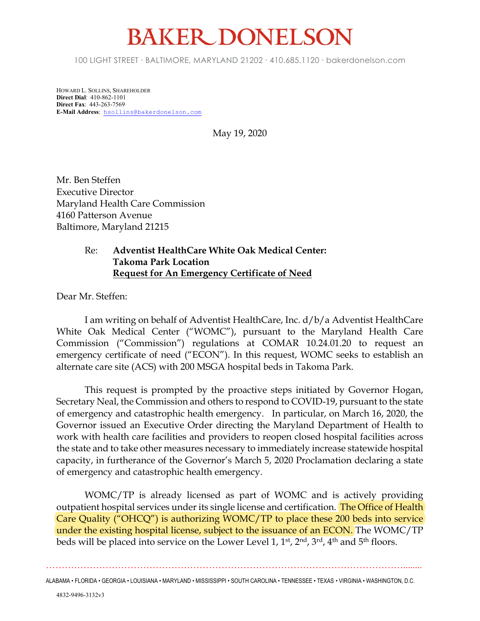## **BAKER DONELSO**

100 LIGHT STREET • BALTIMORE, MARYLAND 21202 • 410.685.1120 • bakerdonelson.com

HOWARD L. SOLLINS, SHAREHOLDER **Direct Dial**: 410-862-1101 **Direct Fax**: 443-263-7569 **E-Mail Address**: hsollins@bakerdonelson.com

May 19, 2020

Mr. Ben Steffen Executive Director Maryland Health Care Commission 4160 Patterson Avenue Baltimore, Maryland 21215

## Re: **Adventist HealthCare White Oak Medical Center: Takoma Park Location Request for An Emergency Certificate of Need**

Dear Mr. Steffen:

I am writing on behalf of Adventist HealthCare, Inc. d/b/a Adventist HealthCare White Oak Medical Center ("WOMC"), pursuant to the Maryland Health Care Commission ("Commission") regulations at COMAR 10.24.01.20 to request an emergency certificate of need ("ECON"). In this request, WOMC seeks to establish an alternate care site (ACS) with 200 MSGA hospital beds in Takoma Park.

This request is prompted by the proactive steps initiated by Governor Hogan, Secretary Neal, the Commission and others to respond to COVID-19, pursuant to the state of emergency and catastrophic health emergency. In particular, on March 16, 2020, the Governor issued an Executive Order directing the Maryland Department of Health to work with health care facilities and providers to reopen closed hospital facilities across the state and to take other measures necessary to immediately increase statewide hospital capacity, in furtherance of the Governor's March 5, 2020 Proclamation declaring a state of emergency and catastrophic health emergency.

WOMC/TP is already licensed as part of WOMC and is actively providing outpatient hospital services under its single license and certification. The Office of Health Care Quality ("OHCQ") is authorizing WOMC/TP to place these 200 beds into service under the existing hospital license, subject to the issuance of an ECON. The WOMC/TP beds will be placed into service on the Lower Level 1, 1<sup>st</sup>, 2<sup>nd</sup>, 3<sup>rd</sup>, 4<sup>th</sup> and 5<sup>th</sup> floors.

……………………………………………………………………………………………………........ ALABAMA • FLORIDA • GEORGIA • LOUISIANA • MARYLAND • MISSISSIPPI • SOUTH CAROLINA • TENNESSEE • TEXAS • VIRGINIA • WASHINGTON, D.C.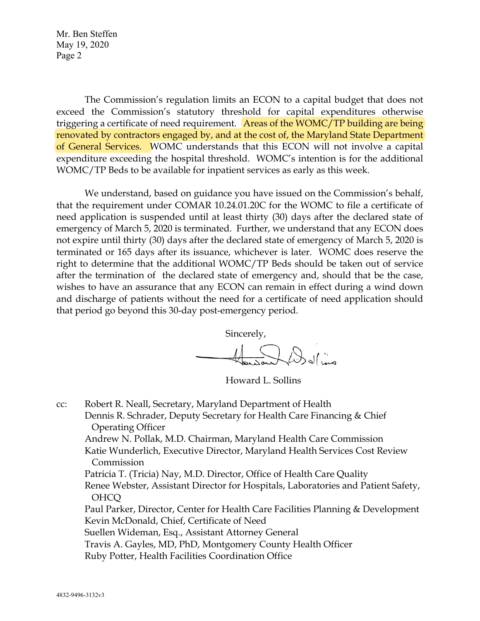Mr. Ben Steffen May 19, 2020 Page 2

The Commission's regulation limits an ECON to a capital budget that does not exceed the Commission's statutory threshold for capital expenditures otherwise triggering a certificate of need requirement. Areas of the WOMC/TP building are being renovated by contractors engaged by, and at the cost of, the Maryland State Department of General Services. WOMC understands that this ECON will not involve a capital expenditure exceeding the hospital threshold. WOMC's intention is for the additional WOMC/TP Beds to be available for inpatient services as early as this week.

We understand, based on guidance you have issued on the Commission's behalf, that the requirement under COMAR 10.24.01.20C for the WOMC to file a certificate of need application is suspended until at least thirty (30) days after the declared state of emergency of March 5, 2020 is terminated. Further, we understand that any ECON does not expire until thirty (30) days after the declared state of emergency of March 5, 2020 is terminated or 165 days after its issuance, whichever is later. WOMC does reserve the right to determine that the additional WOMC/TP Beds should be taken out of service after the termination of the declared state of emergency and, should that be the case, wishes to have an assurance that any ECON can remain in effect during a wind down and discharge of patients without the need for a certificate of need application should that period go beyond this 30-day post-emergency period.

Sincerely,

Delivery

Howard L. Sollins

cc: Robert R. Neall, Secretary, Maryland Department of Health Dennis R. Schrader, Deputy Secretary for Health Care Financing & Chief Operating Officer Andrew N. Pollak, M.D. Chairman, Maryland Health Care Commission Katie Wunderlich, Executive Director, Maryland Health Services Cost Review Commission Patricia T. (Tricia) Nay, M.D. Director, Office of Health Care Quality Renee Webster, Assistant Director for Hospitals, Laboratories and Patient Safety, OHCQ Paul Parker, Director, Center for Health Care Facilities Planning & Development Kevin McDonald, Chief, Certificate of Need Suellen Wideman, Esq., Assistant Attorney General Travis A. Gayles, MD, PhD, Montgomery County Health Officer Ruby Potter, Health Facilities Coordination Office